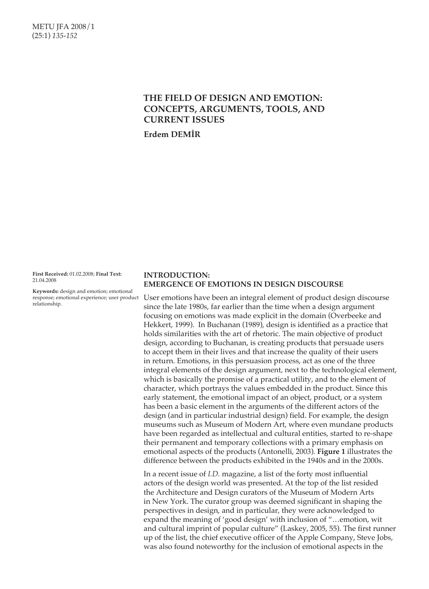# **THE FIELD OF DESIGN AND EMOTION: CONCEPTS, ARGUMENTS, TOOLS, AND CURRENT ISSUES**

**Erdem DEMİR**

**First Received:** 01.02.2008; **Final Text:**  21.04.2008

**Keywords:** design and emotion; emotional response; emotional experience; user product relationship.

# **INTRODUCTION: EMERGENCE OF EMOTIONS IN DESIGN DISCOURSE**

User emotions have been an integral element of product design discourse since the late 1980s, far earlier than the time when a design argument focusing on emotions was made explicit in the domain (Overbeeke and Hekkert, 1999). In Buchanan (1989), design is identified as a practice that holds similarities with the art of rhetoric. The main objective of product design, according to Buchanan, is creating products that persuade users to accept them in their lives and that increase the quality of their users in return. Emotions, in this persuasion process, act as one of the three integral elements of the design argument, next to the technological element, which is basically the promise of a practical utility, and to the element of character, which portrays the values embedded in the product. Since this early statement, the emotional impact of an object, product, or a system has been a basic element in the arguments of the different actors of the design (and in particular industrial design) field. For example, the design museums such as Museum of Modern Art, where even mundane products have been regarded as intellectual and cultural entities, started to re-shape their permanent and temporary collections with a primary emphasis on emotional aspects of the products (Antonelli, 2003). **Figure 1** illustrates the difference between the products exhibited in the 1940s and in the 2000s.

In a recent issue of *I.D.* magazine, a list of the forty most influential actors of the design world was presented. At the top of the list resided the Architecture and Design curators of the Museum of Modern Arts in New York. The curator group was deemed significant in shaping the perspectives in design, and in particular, they were acknowledged to expand the meaning of 'good design' with inclusion of "…emotion, wit and cultural imprint of popular culture" (Laskey, 2005, 55). The first runner up of the list, the chief executive officer of the Apple Company, Steve Jobs, was also found noteworthy for the inclusion of emotional aspects in the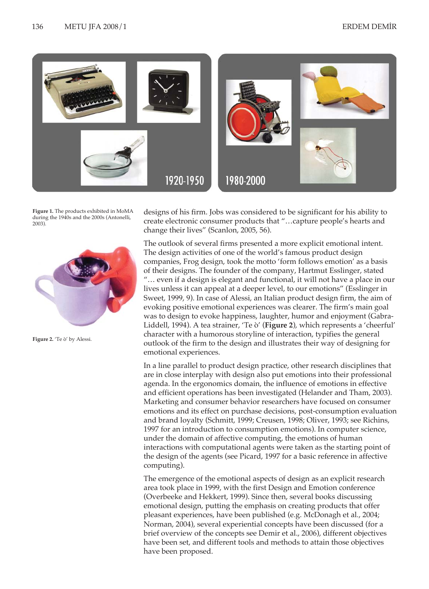

**Figure 1.** The products exhibited in MoMA during the 1940s and the 2000s (Antonelli, 2003).



**Figure 2.** 'Te ò' by Alessi.

designs of his firm. Jobs was considered to be significant for his ability to create electronic consumer products that "…capture people's hearts and change their lives" (Scanlon, 2005, 56).

The outlook of several firms presented a more explicit emotional intent. The design activities of one of the world's famous product design companies, Frog design, took the motto 'form follows emotion' as a basis of their designs. The founder of the company, Hartmut Esslinger, stated "… even if a design is elegant and functional, it will not have a place in our lives unless it can appeal at a deeper level, to our emotions" (Esslinger in Sweet, 1999, 9). In case of Alessi, an Italian product design firm, the aim of evoking positive emotional experiences was clearer. The firm's main goal was to design to evoke happiness, laughter, humor and enjoyment (Gabra-Liddell, 1994). A tea strainer, 'Te ò' (**Figure 2**), which represents a 'cheerful' character with a humorous storyline of interaction, typifies the general outlook of the firm to the design and illustrates their way of designing for emotional experiences.

In a line parallel to product design practice, other research disciplines that are in close interplay with design also put emotions into their professional agenda. In the ergonomics domain, the influence of emotions in effective and efficient operations has been investigated (Helander and Tham, 2003). Marketing and consumer behavior researchers have focused on consumer emotions and its effect on purchase decisions, post-consumption evaluation and brand loyalty (Schmitt, 1999; Creusen, 1998; Oliver, 1993; see Richins, 1997 for an introduction to consumption emotions). In computer science, under the domain of affective computing, the emotions of human interactions with computational agents were taken as the starting point of the design of the agents (see Picard, 1997 for a basic reference in affective computing).

The emergence of the emotional aspects of design as an explicit research area took place in 1999, with the first Design and Emotion conference (Overbeeke and Hekkert, 1999). Since then, several books discussing emotional design, putting the emphasis on creating products that offer pleasant experiences, have been published (e.g. McDonagh et al*.*, 2004; Norman, 2004), several experiential concepts have been discussed (for a brief overview of the concepts see Demir et al., 2006), different objectives have been set, and different tools and methods to attain those objectives have been proposed.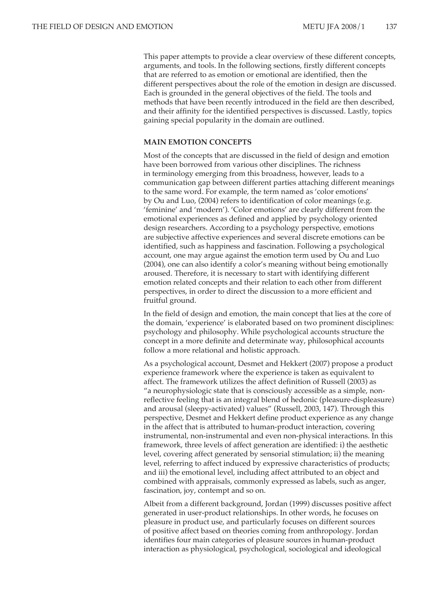This paper attempts to provide a clear overview of these different concepts, arguments, and tools. In the following sections, firstly different concepts that are referred to as emotion or emotional are identified, then the different perspectives about the role of the emotion in design are discussed. Each is grounded in the general objectives of the field. The tools and methods that have been recently introduced in the field are then described, and their affinity for the identified perspectives is discussed. Lastly, topics gaining special popularity in the domain are outlined.

# **MAIN EMOTION CONCEPTS**

Most of the concepts that are discussed in the field of design and emotion have been borrowed from various other disciplines. The richness in terminology emerging from this broadness, however, leads to a communication gap between different parties attaching different meanings to the same word. For example, the term named as 'color emotions' by Ou and Luo, (2004) refers to identification of color meanings (e.g. 'feminine' and 'modern'). 'Color emotions' are clearly different from the emotional experiences as defined and applied by psychology oriented design researchers. According to a psychology perspective, emotions are subjective affective experiences and several discrete emotions can be identified, such as happiness and fascination. Following a psychological account, one may argue against the emotion term used by Ou and Luo (2004), one can also identify a color's meaning without being emotionally aroused. Therefore, it is necessary to start with identifying different emotion related concepts and their relation to each other from different perspectives, in order to direct the discussion to a more efficient and fruitful ground.

In the field of design and emotion, the main concept that lies at the core of the domain, 'experience' is elaborated based on two prominent disciplines: psychology and philosophy. While psychological accounts structure the concept in a more definite and determinate way, philosophical accounts follow a more relational and holistic approach.

As a psychological account, Desmet and Hekkert (2007) propose a product experience framework where the experience is taken as equivalent to affect. The framework utilizes the affect definition of Russell (2003) as "a neurophysiologic state that is consciously accessible as a simple, nonreflective feeling that is an integral blend of hedonic (pleasure-displeasure) and arousal (sleepy-activated) values" (Russell, 2003, 147). Through this perspective, Desmet and Hekkert define product experience as any change in the affect that is attributed to human-product interaction, covering instrumental, non-instrumental and even non-physical interactions. In this framework, three levels of affect generation are identified: i) the aesthetic level, covering affect generated by sensorial stimulation; ii) the meaning level, referring to affect induced by expressive characteristics of products; and iii) the emotional level, including affect attributed to an object and combined with appraisals, commonly expressed as labels, such as anger, fascination, joy, contempt and so on.

Albeit from a different background, Jordan (1999) discusses positive affect generated in user-product relationships. In other words, he focuses on pleasure in product use, and particularly focuses on different sources of positive affect based on theories coming from anthropology. Jordan identifies four main categories of pleasure sources in human-product interaction as physiological, psychological, sociological and ideological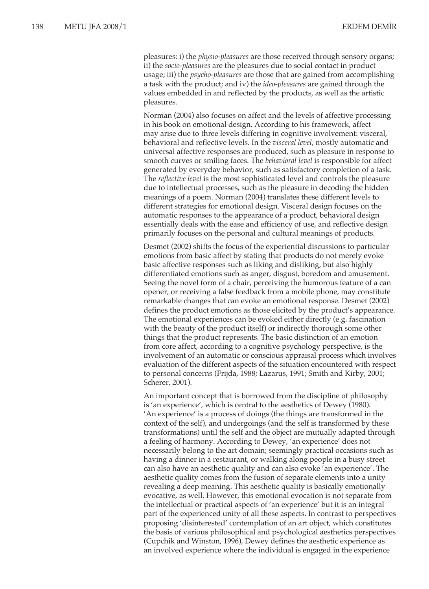pleasures: i) the *physio-pleasures* are those received through sensory organs; ii) the *socio-pleasures* are the pleasures due to social contact in product usage; iii) the *psycho-pleasures* are those that are gained from accomplishing a task with the product; and iv) the *ideo-pleasures* are gained through the values embedded in and reflected by the products, as well as the artistic pleasures.

Norman (2004) also focuses on affect and the levels of affective processing in his book on emotional design. According to his framework, affect may arise due to three levels differing in cognitive involvement: visceral, behavioral and reflective levels. In the *visceral level*, mostly automatic and universal affective responses are produced, such as pleasure in response to smooth curves or smiling faces. The *behavioral level* is responsible for affect generated by everyday behavior, such as satisfactory completion of a task. The *reflective level* is the most sophisticated level and controls the pleasure due to intellectual processes, such as the pleasure in decoding the hidden meanings of a poem. Norman (2004) translates these different levels to different strategies for emotional design. Visceral design focuses on the automatic responses to the appearance of a product, behavioral design essentially deals with the ease and efficiency of use, and reflective design primarily focuses on the personal and cultural meanings of products.

Desmet (2002) shifts the focus of the experiential discussions to particular emotions from basic affect by stating that products do not merely evoke basic affective responses such as liking and disliking, but also highly differentiated emotions such as anger, disgust, boredom and amusement. Seeing the novel form of a chair, perceiving the humorous feature of a can opener, or receiving a false feedback from a mobile phone, may constitute remarkable changes that can evoke an emotional response. Desmet (2002) defines the product emotions as those elicited by the product's appearance. The emotional experiences can be evoked either directly (e.g. fascination with the beauty of the product itself) or indirectly thorough some other things that the product represents. The basic distinction of an emotion from core affect, according to a cognitive psychology perspective, is the involvement of an automatic or conscious appraisal process which involves evaluation of the different aspects of the situation encountered with respect to personal concerns (Frijda, 1988; Lazarus, 1991; Smith and Kirby, 2001; Scherer, 2001).

An important concept that is borrowed from the discipline of philosophy is 'an experience', which is central to the aesthetics of Dewey (1980). 'An experience' is a process of doings (the things are transformed in the context of the self), and undergoings (and the self is transformed by these transformations) until the self and the object are mutually adapted through a feeling of harmony. According to Dewey, 'an experience' does not necessarily belong to the art domain; seemingly practical occasions such as having a dinner in a restaurant, or walking along people in a busy street can also have an aesthetic quality and can also evoke 'an experience'. The aesthetic quality comes from the fusion of separate elements into a unity revealing a deep meaning. This aesthetic quality is basically emotionally evocative, as well. However, this emotional evocation is not separate from the intellectual or practical aspects of 'an experience' but it is an integral part of the experienced unity of all these aspects. In contrast to perspectives proposing 'disinterested' contemplation of an art object, which constitutes the basis of various philosophical and psychological aesthetics perspectives (Cupchik and Winston, 1996), Dewey defines the aesthetic experience as an involved experience where the individual is engaged in the experience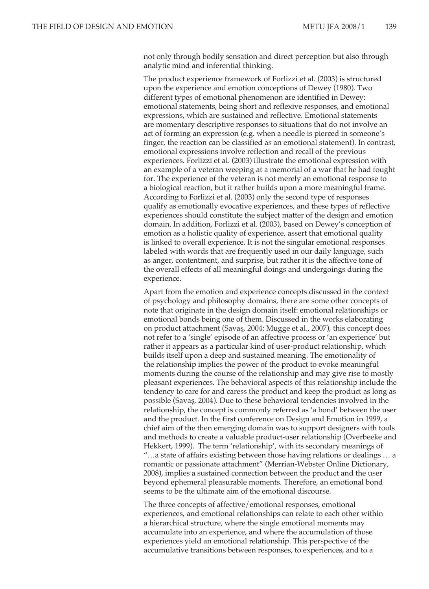not only through bodily sensation and direct perception but also through analytic mind and inferential thinking.

The product experience framework of Forlizzi et al. (2003) is structured upon the experience and emotion conceptions of Dewey (1980). Two different types of emotional phenomenon are identified in Dewey: emotional statements, being short and reflexive responses, and emotional expressions, which are sustained and reflective. Emotional statements are momentary descriptive responses to situations that do not involve an act of forming an expression (e.g. when a needle is pierced in someone's finger, the reaction can be classified as an emotional statement). In contrast, emotional expressions involve reflection and recall of the previous experiences. Forlizzi et al. (2003) illustrate the emotional expression with an example of a veteran weeping at a memorial of a war that he had fought for. The experience of the veteran is not merely an emotional response to a biological reaction, but it rather builds upon a more meaningful frame. According to Forlizzi et al. (2003) only the second type of responses qualify as emotionally evocative experiences, and these types of reflective experiences should constitute the subject matter of the design and emotion domain. In addition, Forlizzi et al. (2003), based on Dewey's conception of emotion as a holistic quality of experience, assert that emotional quality is linked to overall experience. It is not the singular emotional responses labeled with words that are frequently used in our daily language, such as anger, contentment, and surprise, but rather it is the affective tone of the overall effects of all meaningful doings and undergoings during the experience.

Apart from the emotion and experience concepts discussed in the context of psychology and philosophy domains, there are some other concepts of note that originate in the design domain itself: emotional relationships or emotional bonds being one of them. Discussed in the works elaborating on product attachment (Savaş, 2004; Mugge et al., 2007), this concept does not refer to a 'single' episode of an affective process or 'an experience' but rather it appears as a particular kind of user-product relationship, which builds itself upon a deep and sustained meaning. The emotionality of the relationship implies the power of the product to evoke meaningful moments during the course of the relationship and may give rise to mostly pleasant experiences. The behavioral aspects of this relationship include the tendency to care for and caress the product and keep the product as long as possible (Savaş, 2004). Due to these behavioral tendencies involved in the relationship, the concept is commonly referred as 'a bond' between the user and the product. In the first conference on Design and Emotion in 1999, a chief aim of the then emerging domain was to support designers with tools and methods to create a valuable product-user relationship (Overbeeke and Hekkert, 1999). The term 'relationship', with its secondary meanings of "…a state of affairs existing between those having relations or dealings … a romantic or passionate attachment" (Merrian-Webster Online Dictionary, 2008), implies a sustained connection between the product and the user beyond ephemeral pleasurable moments. Therefore, an emotional bond seems to be the ultimate aim of the emotional discourse.

The three concepts of affective/emotional responses, emotional experiences, and emotional relationships can relate to each other within a hierarchical structure, where the single emotional moments may accumulate into an experience, and where the accumulation of those experiences yield an emotional relationship. This perspective of the accumulative transitions between responses, to experiences, and to a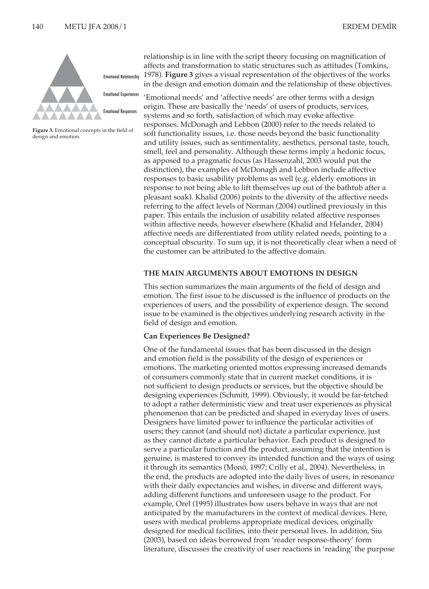

**Figure 3.** Emotional concepts in the field of design and emotion.

relationship is in line with the script theory focusing on magnification of affects and transformation to static structures such as attitudes (Tomkins, 1978). **Figure 3** gives a visual representation of the objectives of the works in the design and emotion domain and the relationship of these objectives.

'Emotional needs' and 'affective needs' are other terms with a design origin. These are basically the 'needs' of users of products, services, systems and so forth, satisfaction of which may evoke affective responses. McDonagh and Lebbon (2000) refer to the needs related to soft functionality issues, i.e. those needs beyond the basic functionality and utility issues, such as sentimentality, aesthetics, personal taste, touch, smell, feel and personality. Although these terms imply a hedonic focus, as apposed to a pragmatic focus (as Hassenzahl, 2003 would put the distinction), the examples of McDonagh and Lebbon include affective responses to basic usability problems as well (e.g. elderly emotions in response to not being able to lift themselves up out of the bathtub after a pleasant soak). Khalid (2006) points to the diversity of the affective needs referring to the affect levels of Norman (2004) outlined previously in this paper. This entails the inclusion of usability related affective responses within affective needs, however elsewhere (Khalid and Helander, 2004) affective needs are differentiated from utility related needs, pointing to a conceptual obscurity. To sum up, it is not theoretically clear when a need of the customer can be attributed to the affective domain.

### **THE MAIN ARGUMENTS ABOUT EMOTIONS IN DESIGN**

This section summarizes the main arguments of the field of design and emotion. The first issue to be discussed is the influence of products on the experiences of users, and the possibility of experience design. The second issue to be examined is the objectives underlying research activity in the field of design and emotion.

### **Can Experiences Be Designed?**

One of the fundamental issues that has been discussed in the design and emotion field is the possibility of the design of experiences or emotions. The marketing oriented mottos expressing increased demands of consumers commonly state that in current market conditions, it is not sufficient to design products or services, but the objective should be designing experiences (Schmitt, 1999). Obviously, it would be far-fetched to adopt a rather deterministic view and treat user experiences as physical phenomenon that can be predicted and shaped in everyday lives of users. Designers have limited power to influence the particular activities of users; they cannot (and should not) dictate a particular experience, just as they cannot dictate a particular behavior. Each product is designed to serve a particular function and the product, assuming that the intention is genuine, is mastered to convey its intended function and the ways of using it through its semantics (Monö, 1997; Crilly et al., 2004). Nevertheless, in the end, the products are adopted into the daily lives of users, in resonance with their daily expectancies and wishes, in diverse and different ways, adding different functions and unforeseen usage to the product. For example, Orel (1995) illustrates how users behave in ways that are not anticipated by the manufacturers in the context of medical devices. Here, users with medical problems appropriate medical devices, originally designed for medical facilities, into their personal lives. In addition, Siu (2003), based on ideas borrowed from 'reader response-theory' form literature, discusses the creativity of user reactions in 'reading' the purpose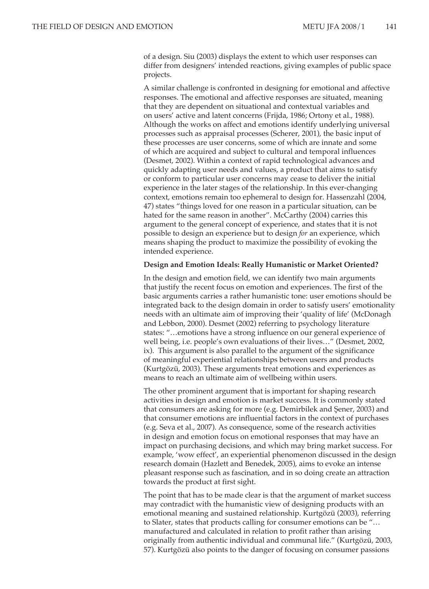of a design. Siu (2003) displays the extent to which user responses can differ from designers' intended reactions, giving examples of public space projects.

A similar challenge is confronted in designing for emotional and affective responses. The emotional and affective responses are situated, meaning that they are dependent on situational and contextual variables and on users' active and latent concerns (Frijda, 1986; Ortony et al., 1988). Although the works on affect and emotions identify underlying universal processes such as appraisal processes (Scherer, 2001), the basic input of these processes are user concerns, some of which are innate and some of which are acquired and subject to cultural and temporal influences (Desmet, 2002). Within a context of rapid technological advances and quickly adapting user needs and values, a product that aims to satisfy or conform to particular user concerns may cease to deliver the initial experience in the later stages of the relationship. In this ever-changing context, emotions remain too ephemeral to design for. Hassenzahl (2004, 47) states "things loved for one reason in a particular situation, can be hated for the same reason in another". McCarthy (2004) carries this argument to the general concept of experience, and states that it is not possible to design an experience but to design *for* an experience, which means shaping the product to maximize the possibility of evoking the intended experience.

#### **Design and Emotion Ideals: Really Humanistic or Market Oriented?**

In the design and emotion field, we can identify two main arguments that justify the recent focus on emotion and experiences. The first of the basic arguments carries a rather humanistic tone: user emotions should be integrated back to the design domain in order to satisfy users' emotionality needs with an ultimate aim of improving their 'quality of life' (McDonagh and Lebbon, 2000). Desmet (2002) referring to psychology literature states: "…emotions have a strong influence on our general experience of well being, i.e. people's own evaluations of their lives…" (Desmet, 2002, ix). This argument is also parallel to the argument of the significance of meaningful experiential relationships between users and products (Kurtgözü, 2003). These arguments treat emotions and experiences as means to reach an ultimate aim of wellbeing within users.

The other prominent argument that is important for shaping research activities in design and emotion is market success. It is commonly stated that consumers are asking for more (e.g. Demirbilek and Şener, 2003) and that consumer emotions are influential factors in the context of purchases (e.g. Seva et al., 2007). As consequence, some of the research activities in design and emotion focus on emotional responses that may have an impact on purchasing decisions, and which may bring market success. For example, 'wow effect', an experiential phenomenon discussed in the design research domain (Hazlett and Benedek, 2005), aims to evoke an intense pleasant response such as fascination, and in so doing create an attraction towards the product at first sight.

The point that has to be made clear is that the argument of market success may contradict with the humanistic view of designing products with an emotional meaning and sustained relationship. Kurtgözü (2003), referring to Slater, states that products calling for consumer emotions can be "… manufactured and calculated in relation to profit rather than arising originally from authentic individual and communal life." (Kurtgözü, 2003, 57). Kurtgözü also points to the danger of focusing on consumer passions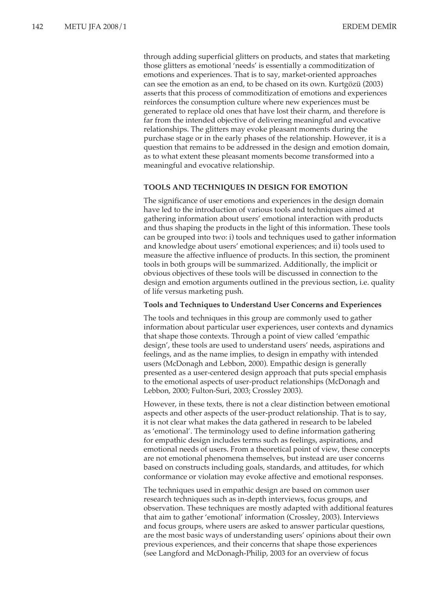through adding superficial glitters on products, and states that marketing those glitters as emotional 'needs' is essentially a commoditization of emotions and experiences. That is to say, market-oriented approaches can see the emotion as an end, to be chased on its own. Kurtgözü (2003) asserts that this process of commoditization of emotions and experiences reinforces the consumption culture where new experiences must be generated to replace old ones that have lost their charm, and therefore is far from the intended objective of delivering meaningful and evocative relationships. The glitters may evoke pleasant moments during the purchase stage or in the early phases of the relationship. However, it is a question that remains to be addressed in the design and emotion domain, as to what extent these pleasant moments become transformed into a meaningful and evocative relationship.

### **TOOLS AND TECHNIQUES IN DESIGN FOR EMOTION**

The significance of user emotions and experiences in the design domain have led to the introduction of various tools and techniques aimed at gathering information about users' emotional interaction with products and thus shaping the products in the light of this information. These tools can be grouped into two: i) tools and techniques used to gather information and knowledge about users' emotional experiences; and ii) tools used to measure the affective influence of products. In this section, the prominent tools in both groups will be summarized. Additionally, the implicit or obvious objectives of these tools will be discussed in connection to the design and emotion arguments outlined in the previous section, i.e. quality of life versus marketing push.

### **Tools and Techniques to Understand User Concerns and Experiences**

The tools and techniques in this group are commonly used to gather information about particular user experiences, user contexts and dynamics that shape those contexts. Through a point of view called 'empathic design', these tools are used to understand users' needs, aspirations and feelings, and as the name implies, to design in empathy with intended users (McDonagh and Lebbon, 2000). Empathic design is generally presented as a user-centered design approach that puts special emphasis to the emotional aspects of user-product relationships (McDonagh and Lebbon, 2000; Fulton-Suri, 2003; Crossley 2003).

However, in these texts, there is not a clear distinction between emotional aspects and other aspects of the user-product relationship. That is to say, it is not clear what makes the data gathered in research to be labeled as 'emotional'. The terminology used to define information gathering for empathic design includes terms such as feelings, aspirations, and emotional needs of users. From a theoretical point of view, these concepts are not emotional phenomena themselves, but instead are user concerns based on constructs including goals, standards, and attitudes, for which conformance or violation may evoke affective and emotional responses.

The techniques used in empathic design are based on common user research techniques such as in-depth interviews, focus groups, and observation. These techniques are mostly adapted with additional features that aim to gather 'emotional' information (Crossley, 2003). Interviews and focus groups, where users are asked to answer particular questions, are the most basic ways of understanding users' opinions about their own previous experiences, and their concerns that shape those experiences (see Langford and McDonagh-Philip, 2003 for an overview of focus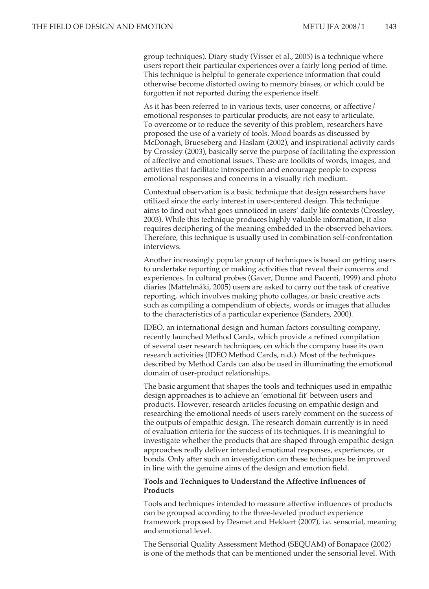group techniques). Diary study (Visser et al., 2005) is a technique where users report their particular experiences over a fairly long period of time. This technique is helpful to generate experience information that could otherwise become distorted owing to memory biases, or which could be forgotten if not reported during the experience itself.

As it has been referred to in various texts, user concerns, or affective/ emotional responses to particular products, are not easy to articulate. To overcome or to reduce the severity of this problem, researchers have proposed the use of a variety of tools. Mood boards as discussed by McDonagh, Brueseberg and Haslam (2002), and inspirational activity cards by Crossley (2003), basically serve the purpose of facilitating the expression of affective and emotional issues. These are toolkits of words, images, and activities that facilitate introspection and encourage people to express emotional responses and concerns in a visually rich medium.

Contextual observation is a basic technique that design researchers have utilized since the early interest in user-centered design. This technique aims to find out what goes unnoticed in users' daily life contexts (Crossley, 2003). While this technique produces highly valuable information, it also requires deciphering of the meaning embedded in the observed behaviors. Therefore, this technique is usually used in combination self-confrontation interviews.

Another increasingly popular group of techniques is based on getting users to undertake reporting or making activities that reveal their concerns and experiences. In cultural probes (Gaver, Dunne and Pacenti, 1999) and photo diaries (Mattelmäki, 2005) users are asked to carry out the task of creative reporting, which involves making photo collages, or basic creative acts such as compiling a compendium of objects, words or images that alludes to the characteristics of a particular experience (Sanders, 2000).

IDEO, an international design and human factors consulting company, recently launched Method Cards, which provide a refined compilation of several user research techniques, on which the company base its own research activities (IDEO Method Cards, n.d.). Most of the techniques described by Method Cards can also be used in illuminating the emotional domain of user-product relationships.

The basic argument that shapes the tools and techniques used in empathic design approaches is to achieve an 'emotional fit' between users and products. However, research articles focusing on empathic design and researching the emotional needs of users rarely comment on the success of the outputs of empathic design. The research domain currently is in need of evaluation criteria for the success of its techniques. It is meaningful to investigate whether the products that are shaped through empathic design approaches really deliver intended emotional responses, experiences, or bonds. Only after such an investigation can these techniques be improved in line with the genuine aims of the design and emotion field.

# **Tools and Techniques to Understand the Affective Influences of Products**

Tools and techniques intended to measure affective influences of products can be grouped according to the three-leveled product experience framework proposed by Desmet and Hekkert (2007), i.e. sensorial, meaning and emotional level.

The Sensorial Quality Assessment Method (SEQUAM) of Bonapace (2002) is one of the methods that can be mentioned under the sensorial level. With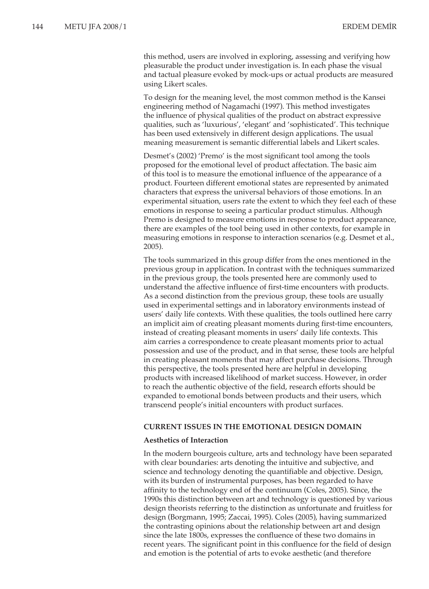this method, users are involved in exploring, assessing and verifying how pleasurable the product under investigation is. In each phase the visual and tactual pleasure evoked by mock-ups or actual products are measured using Likert scales.

To design for the meaning level, the most common method is the Kansei engineering method of Nagamachi (1997). This method investigates the influence of physical qualities of the product on abstract expressive qualities, such as 'luxurious', 'elegant' and 'sophisticated'. This technique has been used extensively in different design applications. The usual meaning measurement is semantic differential labels and Likert scales.

Desmet's (2002) 'Premo' is the most significant tool among the tools proposed for the emotional level of product affectation. The basic aim of this tool is to measure the emotional influence of the appearance of a product. Fourteen different emotional states are represented by animated characters that express the universal behaviors of those emotions. In an experimental situation, users rate the extent to which they feel each of these emotions in response to seeing a particular product stimulus. Although Premo is designed to measure emotions in response to product appearance, there are examples of the tool being used in other contexts, for example in measuring emotions in response to interaction scenarios (e.g. Desmet et al., 2005).

The tools summarized in this group differ from the ones mentioned in the previous group in application. In contrast with the techniques summarized in the previous group, the tools presented here are commonly used to understand the affective influence of first-time encounters with products. As a second distinction from the previous group, these tools are usually used in experimental settings and in laboratory environments instead of users' daily life contexts. With these qualities, the tools outlined here carry an implicit aim of creating pleasant moments during first-time encounters, instead of creating pleasant moments in users' daily life contexts. This aim carries a correspondence to create pleasant moments prior to actual possession and use of the product, and in that sense, these tools are helpful in creating pleasant moments that may affect purchase decisions. Through this perspective, the tools presented here are helpful in developing products with increased likelihood of market success. However, in order to reach the authentic objective of the field, research efforts should be expanded to emotional bonds between products and their users, which transcend people's initial encounters with product surfaces.

# **CURRENT ISSUES IN THE EMOTIONAL DESIGN DOMAIN**

### **Aesthetics of Interaction**

In the modern bourgeois culture, arts and technology have been separated with clear boundaries: arts denoting the intuitive and subjective, and science and technology denoting the quantifiable and objective. Design, with its burden of instrumental purposes, has been regarded to have affinity to the technology end of the continuum (Coles, 2005). Since, the 1990s this distinction between art and technology is questioned by various design theorists referring to the distinction as unfortunate and fruitless for design (Borgmann, 1995; Zaccai, 1995). Coles (2005), having summarized the contrasting opinions about the relationship between art and design since the late 1800s, expresses the confluence of these two domains in recent years. The significant point in this confluence for the field of design and emotion is the potential of arts to evoke aesthetic (and therefore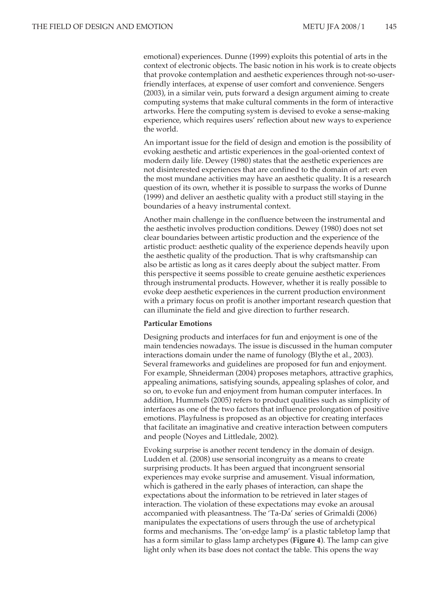emotional) experiences. Dunne (1999) exploits this potential of arts in the context of electronic objects. The basic notion in his work is to create objects that provoke contemplation and aesthetic experiences through not-so-userfriendly interfaces, at expense of user comfort and convenience. Sengers (2003), in a similar vein, puts forward a design argument aiming to create computing systems that make cultural comments in the form of interactive artworks. Here the computing system is devised to evoke a sense-making experience, which requires users' reflection about new ways to experience the world.

An important issue for the field of design and emotion is the possibility of evoking aesthetic and artistic experiences in the goal-oriented context of modern daily life. Dewey (1980) states that the aesthetic experiences are not disinterested experiences that are confined to the domain of art: even the most mundane activities may have an aesthetic quality. It is a research question of its own, whether it is possible to surpass the works of Dunne (1999) and deliver an aesthetic quality with a product still staying in the boundaries of a heavy instrumental context.

Another main challenge in the confluence between the instrumental and the aesthetic involves production conditions. Dewey (1980) does not set clear boundaries between artistic production and the experience of the artistic product: aesthetic quality of the experience depends heavily upon the aesthetic quality of the production. That is why craftsmanship can also be artistic as long as it cares deeply about the subject matter. From this perspective it seems possible to create genuine aesthetic experiences through instrumental products. However, whether it is really possible to evoke deep aesthetic experiences in the current production environment with a primary focus on profit is another important research question that can illuminate the field and give direction to further research.

### **Particular Emotions**

Designing products and interfaces for fun and enjoyment is one of the main tendencies nowadays. The issue is discussed in the human computer interactions domain under the name of funology (Blythe et al., 2003). Several frameworks and guidelines are proposed for fun and enjoyment. For example, Shneiderman (2004) proposes metaphors, attractive graphics, appealing animations, satisfying sounds, appealing splashes of color, and so on, to evoke fun and enjoyment from human computer interfaces. In addition, Hummels (2005) refers to product qualities such as simplicity of interfaces as one of the two factors that influence prolongation of positive emotions. Playfulness is proposed as an objective for creating interfaces that facilitate an imaginative and creative interaction between computers and people (Noyes and Littledale, 2002).

Evoking surprise is another recent tendency in the domain of design. Ludden et al. (2008) use sensorial incongruity as a means to create surprising products. It has been argued that incongruent sensorial experiences may evoke surprise and amusement. Visual information, which is gathered in the early phases of interaction, can shape the expectations about the information to be retrieved in later stages of interaction. The violation of these expectations may evoke an arousal accompanied with pleasantness. The 'Ta-Da' series of Grimaldi (2006) manipulates the expectations of users through the use of archetypical forms and mechanisms. The 'on-edge lamp' is a plastic tabletop lamp that has a form similar to glass lamp archetypes (**Figure 4**). The lamp can give light only when its base does not contact the table. This opens the way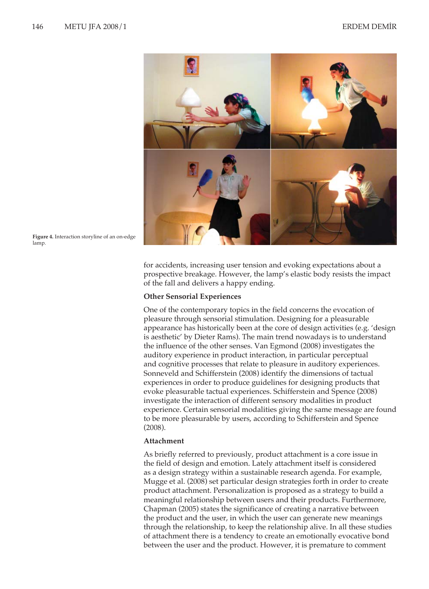

**Figure 4.** Interaction storyline of an on-edge lamp.

for accidents, increasing user tension and evoking expectations about a prospective breakage. However, the lamp's elastic body resists the impact of the fall and delivers a happy ending.

### **Other Sensorial Experiences**

One of the contemporary topics in the field concerns the evocation of pleasure through sensorial stimulation. Designing for a pleasurable appearance has historically been at the core of design activities (e.g. 'design is aesthetic' by Dieter Rams). The main trend nowadays is to understand the influence of the other senses. Van Egmond (2008) investigates the auditory experience in product interaction, in particular perceptual and cognitive processes that relate to pleasure in auditory experiences. Sonneveld and Schifferstein (2008) identify the dimensions of tactual experiences in order to produce guidelines for designing products that evoke pleasurable tactual experiences. Schifferstein and Spence (2008) investigate the interaction of different sensory modalities in product experience. Certain sensorial modalities giving the same message are found to be more pleasurable by users, according to Schifferstein and Spence (2008).

### **Attachment**

As briefly referred to previously, product attachment is a core issue in the field of design and emotion. Lately attachment itself is considered as a design strategy within a sustainable research agenda. For example, Mugge et al. (2008) set particular design strategies forth in order to create product attachment. Personalization is proposed as a strategy to build a meaningful relationship between users and their products. Furthermore, Chapman (2005) states the significance of creating a narrative between the product and the user, in which the user can generate new meanings through the relationship, to keep the relationship alive. In all these studies of attachment there is a tendency to create an emotionally evocative bond between the user and the product. However, it is premature to comment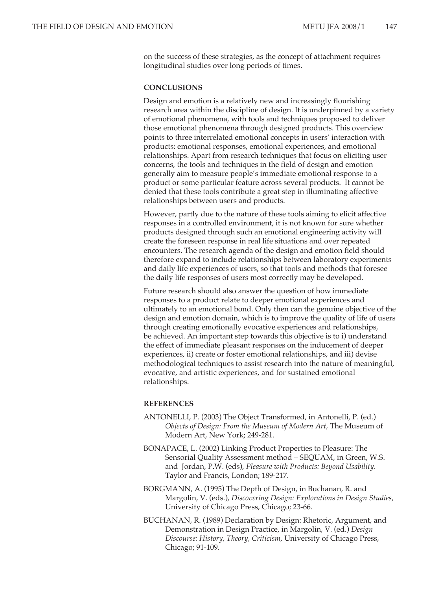on the success of these strategies, as the concept of attachment requires longitudinal studies over long periods of times.

### **CONCLUSIONS**

Design and emotion is a relatively new and increasingly flourishing research area within the discipline of design. It is underpinned by a variety of emotional phenomena, with tools and techniques proposed to deliver those emotional phenomena through designed products. This overview points to three interrelated emotional concepts in users' interaction with products: emotional responses, emotional experiences, and emotional relationships. Apart from research techniques that focus on eliciting user concerns, the tools and techniques in the field of design and emotion generally aim to measure people's immediate emotional response to a product or some particular feature across several products. It cannot be denied that these tools contribute a great step in illuminating affective relationships between users and products.

However, partly due to the nature of these tools aiming to elicit affective responses in a controlled environment, it is not known for sure whether products designed through such an emotional engineering activity will create the foreseen response in real life situations and over repeated encounters. The research agenda of the design and emotion field should therefore expand to include relationships between laboratory experiments and daily life experiences of users, so that tools and methods that foresee the daily life responses of users most correctly may be developed.

Future research should also answer the question of how immediate responses to a product relate to deeper emotional experiences and ultimately to an emotional bond. Only then can the genuine objective of the design and emotion domain, which is to improve the quality of life of users through creating emotionally evocative experiences and relationships, be achieved. An important step towards this objective is to i) understand the effect of immediate pleasant responses on the inducement of deeper experiences, ii) create or foster emotional relationships, and iii) devise methodological techniques to assist research into the nature of meaningful, evocative, and artistic experiences, and for sustained emotional relationships.

### **REFERENCES**

- ANTONELLI, P. (2003) The Object Transformed, in Antonelli, P. (ed.) *Objects of Design: From the Museum of Modern Art*, The Museum of Modern Art, New York; 249-281.
- BONAPACE, L. (2002) Linking Product Properties to Pleasure: The Sensorial Quality Assessment method – SEQUAM, in Green, W.S. and Jordan, P.W. (eds), *Pleasure with Products: Beyond Usability*. Taylor and Francis, London; 189-217.
- BORGMANN, A. (1995) The Depth of Design, in Buchanan, R. and Margolin, V. (eds.), *Discovering Design: Explorations in Design Studies*, University of Chicago Press, Chicago; 23-66.
- BUCHANAN, R. (1989) Declaration by Design: Rhetoric, Argument, and Demonstration in Design Practice, in Margolin, V. (ed.) *Design Discourse: History, Theory, Criticism*, University of Chicago Press, Chicago; 91-109.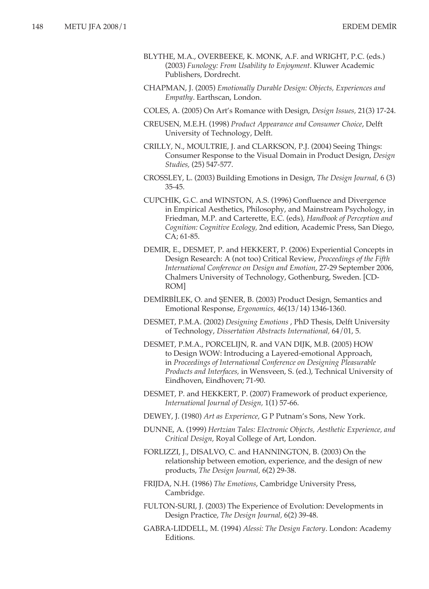- BLYTHE, M.A., OVERBEEKE, K. MONK, A.F. and WRIGHT, P.C. (eds.) (2003) *Funology: From Usability to Enjoyment*. Kluwer Academic Publishers, Dordrecht.
- CHAPMAN, J. (2005) *Emotionally Durable Design: Objects, Experiences and Empathy*. Earthscan, London.
- COLES, A. (2005) On Art's Romance with Design, *Design Issues,* 21(3) 17-24.
- CREUSEN, M.E.H. (1998) *Product Appearance and Consumer Choice*, Delft University of Technology, Delft.
- CRILLY, N., MOULTRIE, J. and CLARKSON, P.J. (2004) Seeing Things: Consumer Response to the Visual Domain in Product Design, *Design Studies,* (25) 547-577.
- CROSSLEY, L. (2003) Building Emotions in Design, *The Design Journal,* 6 (3) 35-45.
- CUPCHIK, G.C. and WINSTON, A.S. (1996) Confluence and Divergence in Empirical Aesthetics, Philosophy, and Mainstream Psychology, in Friedman, M.P. and Carterette, E.C. (eds)*, Handbook of Perception and Cognition: Cognitive Ecology,* 2nd edition, Academic Press, San Diego, CA; 61-85.
- DEMIR, E., DESMET, P. and HEKKERT, P. (2006) Experiential Concepts in Design Research: A (not too) Critical Review, *Proceedings of the Fifth International Conference on Design and Emotion*, 27-29 September 2006, Chalmers University of Technology, Gothenburg, Sweden. [CD-ROM]
- DEMİRBİLEK, O. and ŞENER, B. (2003) Product Design, Semantics and Emotional Response, *Ergonomics,* 46(13/14) 1346-1360.
- DESMET, P.M.A. (2002) *Designing Emotions* , PhD Thesis, Delft University of Technology, *Dissertation Abstracts International,* 64/01, 5.
- DESMET, P.M.A., PORCELIJN, R. and VAN DIJK, M.B. (2005) HOW to Design WOW: Introducing a Layered-emotional Approach, in *Proceedings of International Conference on Designing Pleasurable Products and Interfaces,* in Wensveen, S. (ed.), Technical University of Eindhoven, Eindhoven; 71-90.
- DESMET, P. and HEKKERT, P. (2007) Framework of product experience, *International Journal of Design,* 1(1) 57-66.
- DEWEY, J. (1980) *Art as Experience,* G P Putnam's Sons, New York.
- DUNNE, A. (1999) *Hertzian Tales: Electronic Objects, Aesthetic Experience, and Critical Design,* Royal College of Art, London.
- FORLIZZI, J., DISALVO, C. and HANNINGTON, B. (2003) On the relationship between emotion, experience, and the design of new products, *The Design Journal,* 6(2) 29-38.
- FRIJDA, N.H. (1986) *The Emotions*, Cambridge University Press, Cambridge.
- FULTON-SURI, J. (2003) The Experience of Evolution: Developments in Design Practice, *The Design Journal,* 6(2) 39-48.
- GABRA-LIDDELL, M. (1994) *Alessi: The Design Factory*. London: Academy Editions.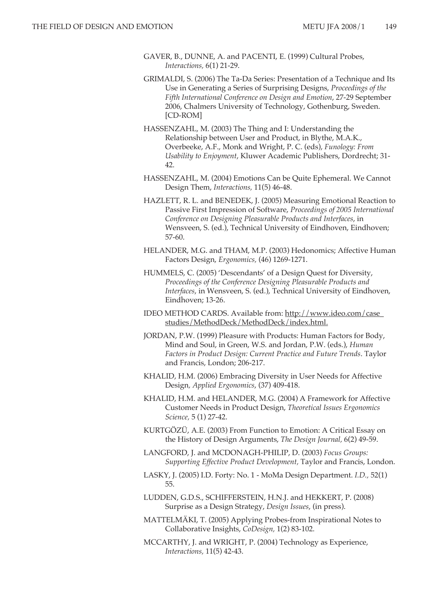- GAVER, B., DUNNE, A. and PACENTI, E. (1999) Cultural Probes, *Interactions,* 6(1) 21-29.
- GRIMALDI, S. (2006) The Ta-Da Series: Presentation of a Technique and Its Use in Generating a Series of Surprising Designs, *Proceedings of the Fifth International Conference on Design and Emotion*, 27-29 September 2006, Chalmers University of Technology, Gothenburg, Sweden. [CD-ROM]
- HASSENZAHL, M. (2003) The Thing and I: Understanding the Relationship between User and Product, in Blythe, M.A.K., Overbeeke, A.F., Monk and Wright, P. C. (eds), *Funology: From Usability to Enjoyment*, Kluwer Academic Publishers, Dordrecht; 31- 42.
- HASSENZAHL, M. (2004) Emotions Can be Quite Ephemeral. We Cannot Design Them, *Interactions,* 11(5) 46-48.
- HAZLETT, R. L. and BENEDEK, J. (2005) Measuring Emotional Reaction to Passive First Impression of Software, *Proceedings of 2005 International Conference on Designing Pleasurable Products and Interfaces*, in Wensveen, S. (ed.), Technical University of Eindhoven, Eindhoven; 57-60.
- HELANDER, M.G. and THAM, M.P. (2003) Hedonomics; Affective Human Factors Design, *Ergonomics,* (46) 1269-1271.
- HUMMELS, C. (2005) 'Descendants' of a Design Quest for Diversity, *Proceedings of the Conference Designing Pleasurable Products and Interfaces*, in Wensveen, S. (ed.), Technical University of Eindhoven, Eindhoven; 13-26.
- IDEO METHOD CARDS. Available from: http://www.ideo.com/case\_ studies/MethodDeck/MethodDeck/index.html.
- JORDAN, P.W. (1999) Pleasure with Products: Human Factors for Body, Mind and Soul, in Green, W.S. and Jordan, P.W. (eds.), *Human Factors in Product Design: Current Practice and Future Trends*. Taylor and Francis, London; 206-217.
- KHALID, H.M. (2006) Embracing Diversity in User Needs for Affective Design*, Applied Ergonomics*, (37) 409-418.
- KHALID, H.M. and HELANDER, M.G. (2004) A Framework for Affective Customer Needs in Product Design, *Theoretical Issues Ergonomics Science,* 5 (1) 27-42.
- KURTGÖZÜ, A.E. (2003) From Function to Emotion: A Critical Essay on the History of Design Arguments, *The Design Journal,* 6(2) 49-59.
- LANGFORD, J. and MCDONAGH-PHILIP, D. (2003) *Focus Groups: Supporting Effective Product Development,* Taylor and Francis, London.
- LASKY, J. (2005) I.D. Forty: No. 1 MoMa Design Department. *I.D.,* 52(1) 55.
- LUDDEN, G.D.S., SCHIFFERSTEIN, H.N.J. and HEKKERT, P. (2008) Surprise as a Design Strategy, *Design Issues*, (in press).
- MATTELMÄKI, T. (2005) Applying Probes-from Inspirational Notes to Collaborative Insights, *CoDesign,* 1(2) 83-102.
- MCCARTHY, J. and WRIGHT, P. (2004) Technology as Experience, *Interactions,* 11(5) 42-43.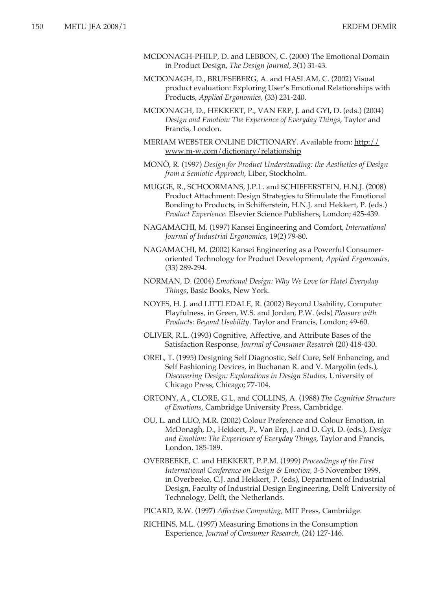- MCDONAGH-PHILP, D. and LEBBON, C. (2000) The Emotional Domain in Product Design, *The Design Journal,* 3(1) 31-43.
- MCDONAGH, D., BRUESEBERG, A. and HASLAM, C. (2002) Visual product evaluation: Exploring User's Emotional Relationships with Products, *Applied Ergonomics,* (33) 231-240.
- MCDONAGH, D., HEKKERT, P., VAN ERP, J. and GYI, D. (eds.) (2004) *Design and Emotion: The Experience of Everyday Things*, Taylor and Francis, London.
- MERIAM WEBSTER ONLINE DICTIONARY. Available from: http:// www.m-w.com/dictionary/relationship
- MONÖ, R. (1997) *Design for Product Understanding: the Aesthetics of Design from a Semiotic Approach*, Liber, Stockholm.
- MUGGE, R., SCHOORMANS, J.P.L. and SCHIFFERSTEIN, H.N.J. (2008) Product Attachment: Design Strategies to Stimulate the Emotional Bonding to Products, in Schifferstein, H.N.J. and Hekkert, P. (eds.) *Product Experience*. Elsevier Science Publishers, London; 425-439.
- NAGAMACHI, M. (1997) Kansei Engineering and Comfort, *International Journal of Industrial Ergonomics*, 19(2) 79-80*.*
- NAGAMACHI, M. (2002) Kansei Engineering as a Powerful Consumeroriented Technology for Product Development, *Applied Ergonomics,*  (33) 289-294.
- NORMAN, D. (2004) *Emotional Design: Why We Love (or Hate) Everyday Things*, Basic Books, New York.
- NOYES, H. J. and LITTLEDALE, R. (2002) Beyond Usability, Computer Playfulness, in Green, W.S. and Jordan, P.W. (eds) *Pleasure with Products: Beyond Usability*. Taylor and Francis, London; 49-60.
- OLIVER, R.L. (1993) Cognitive, Affective, and Attribute Bases of the Satisfaction Response, *Journal of Consumer Research* (20) 418-430.
- OREL, T. (1995) Designing Self Diagnostic, Self Cure, Self Enhancing, and Self Fashioning Devices, in Buchanan R. and V. Margolin (eds.), *Discovering Design: Explorations in Design Studies*, University of Chicago Press, Chicago; 77-104.
- ORTONY, A., CLORE, G.L. and COLLINS, A. (1988) *The Cognitive Structure of Emotions*, Cambridge University Press, Cambridge.
- OU, L. and LUO, M.R. (2002) Colour Preference and Colour Emotion, in McDonagh, D., Hekkert, P., Van Erp, J. and D. Gyi, D. (eds.), *Design and Emotion: The Experience of Everyday Things*, Taylor and Francis, London. 185-189.
- OVERBEEKE, C. and HEKKERT, P.P.M. (1999) *Proceedings of the First International Conference on Design & Emotion,* 3-5 November 1999, in Overbeeke, C.J. and Hekkert, P. (eds), Department of Industrial Design, Faculty of Industrial Design Engineering, Delft University of Technology, Delft, the Netherlands.
- PICARD, R.W. (1997) *Affective Computing*, MIT Press, Cambridge.
- RICHINS, M.L. (1997) Measuring Emotions in the Consumption Experience, *Journal of Consumer Research,* (24) 127-146.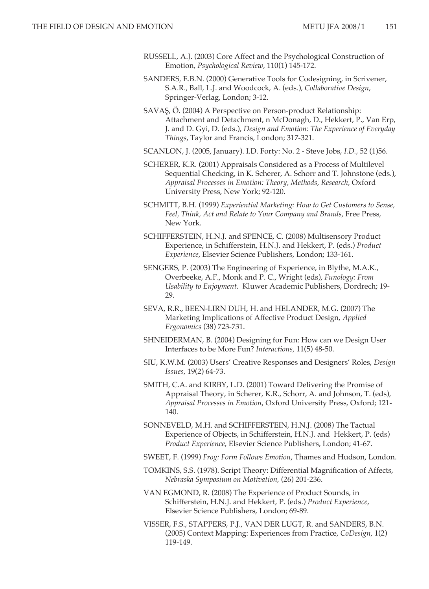- RUSSELL, A.J. (2003) Core Affect and the Psychological Construction of Emotion, *Psychological Review,* 110(1) 145-172.
- SANDERS, E.B.N. (2000) Generative Tools for Codesigning, in Scrivener, S.A.R., Ball, L.J. and Woodcock, A. (eds.), *Collaborative Design*, Springer-Verlag, London; 3-12.
- SAVAŞ, Ö. (2004) A Perspective on Person-product Relationship: Attachment and Detachment, n McDonagh, D., Hekkert, P., Van Erp, J. and D. Gyi, D. (eds.), *Design and Emotion: The Experience of Everyday Things*, Taylor and Francis, London; 317-321.
- SCANLON, J. (2005, January). I.D. Forty: No. 2 Steve Jobs, *I.D.,* 52 (1)56.
- SCHERER, K.R. (2001) Appraisals Considered as a Process of Multilevel Sequential Checking, in K. Scherer, A. Schorr and T. Johnstone (eds.), *Appraisal Processes in Emotion: Theory, Methods, Research,* Oxford University Press, New York; 92-120.
- SCHMITT, B.H. (1999) *Experiential Marketing: How to Get Customers to Sense, Feel, Think, Act and Relate to Your Company and Brands*, Free Press, New York.
- SCHIFFERSTEIN, H.N.J. and SPENCE, C. (2008) Multisensory Product Experience, in Schifferstein, H.N.J. and Hekkert, P. (eds.) *Product Experience*, Elsevier Science Publishers, London; 133-161.
- SENGERS, P. (2003) The Engineering of Experience, in Blythe, M.A.K., Overbeeke, A.F., Monk and P. C., Wright (eds), *Funology: From Usability to Enjoyment.* Kluwer Academic Publishers, Dordrech; 19- 29.
- SEVA, R.R., BEEN-LIRN DUH, H. and HELANDER, M.G. (2007) The Marketing Implications of Affective Product Design, *Applied Ergonomics* (38) 723-731.
- SHNEIDERMAN, B. (2004) Designing for Fun: How can we Design User Interfaces to be More Fun? *Interactions,* 11(5) 48-50.
- SIU, K.W.M. (2003) Users' Creative Responses and Designers' Roles, *Design Issues,* 19(2) 64-73.
- SMITH, C.A. and KIRBY, L.D. (2001) Toward Delivering the Promise of Appraisal Theory, in Scherer, K.R., Schorr, A. and Johnson, T. (eds), *Appraisal Processes in Emotion*, Oxford University Press, Oxford; 121- 140.
- SONNEVELD, M.H. and SCHIFFERSTEIN, H.N.J. (2008) The Tactual Experience of Objects, in Schifferstein, H.N.J. and Hekkert, P. (eds) *Product Experience*, Elsevier Science Publishers, London; 41-67.
- SWEET, F. (1999) *Frog: Form Follows Emotion*, Thames and Hudson, London.
- TOMKINS, S.S. (1978). Script Theory: Differential Magnification of Affects, *Nebraska Symposium on Motivation,* (26) 201-236.
- VAN EGMOND, R. (2008) The Experience of Product Sounds, in Schifferstein, H.N.J. and Hekkert, P. (eds.) *Product Experience*, Elsevier Science Publishers, London; 69-89.
- VISSER, F.S., STAPPERS, P.J., VAN DER LUGT, R. and SANDERS, B.N. (2005) Context Mapping: Experiences from Practice, *CoDesign,* 1(2) 119-149.